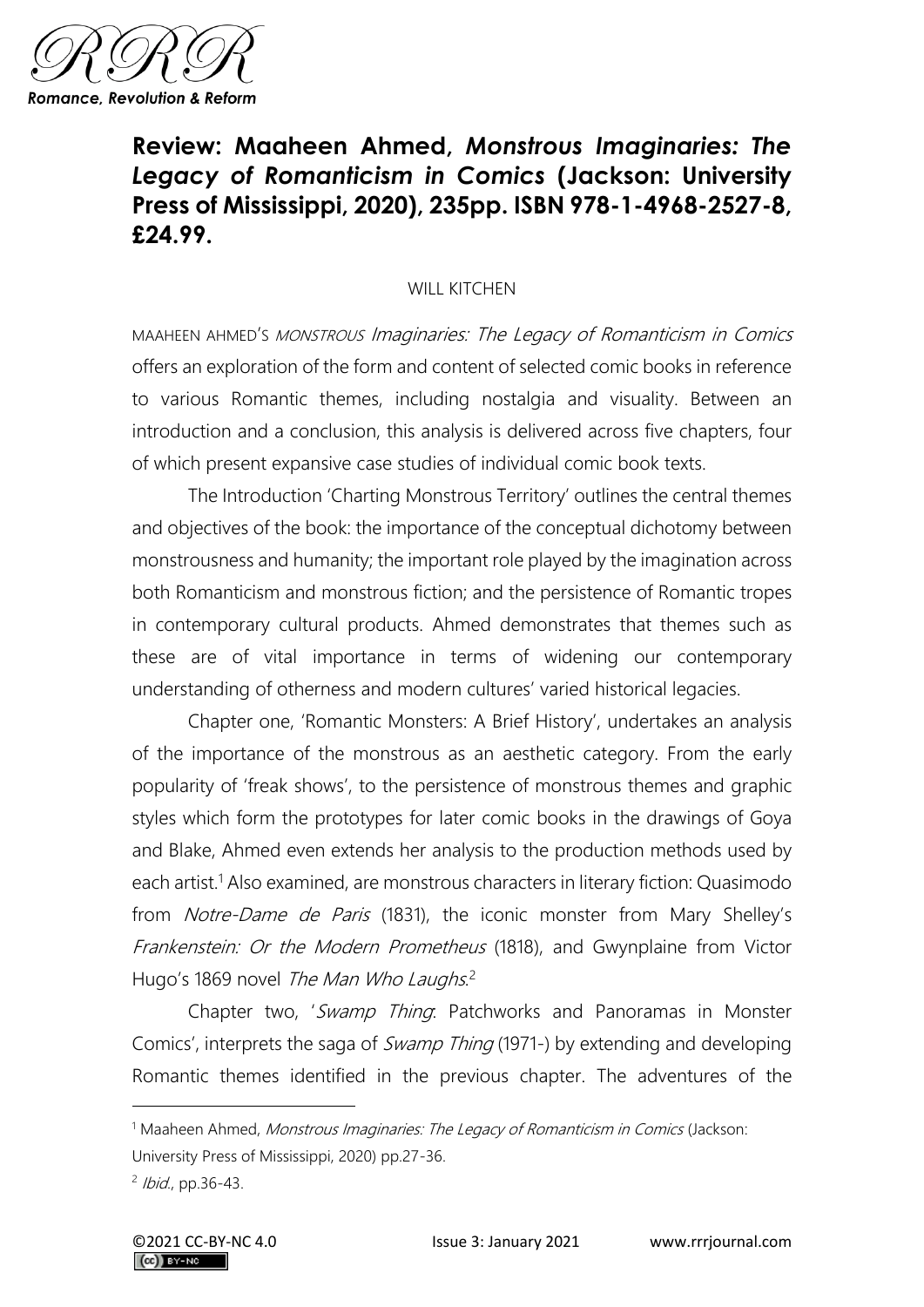

## **Review: Maaheen Ahmed,** *Monstrous Imaginaries: The Legacy of Romanticism in Comics* **(Jackson: University Press of Mississippi, 2020), 235pp. ISBN 978-1-4968-2527-8, £24.99.**

## WILL KITCHEN

MAAHEEN AHMED'S MONSTROUS Imaginaries: The Legacy of Romanticism in Comics offers an exploration of the form and content of selected comic books in reference to various Romantic themes, including nostalgia and visuality. Between an introduction and a conclusion, this analysis is delivered across five chapters, four of which present expansive case studies of individual comic book texts.

The Introduction 'Charting Monstrous Territory' outlines the central themes and objectives of the book: the importance of the conceptual dichotomy between monstrousness and humanity; the important role played by the imagination across both Romanticism and monstrous fiction; and the persistence of Romantic tropes in contemporary cultural products. Ahmed demonstrates that themes such as these are of vital importance in terms of widening our contemporary understanding of otherness and modern cultures' varied historical legacies.

Chapter one, 'Romantic Monsters: A Brief History', undertakes an analysis of the importance of the monstrous as an aesthetic category. From the early popularity of 'freak shows', to the persistence of monstrous themes and graphic styles which form the prototypes for later comic books in the drawings of Goya and Blake, Ahmed even extends her analysis to the production methods used by each artist.<sup>1</sup> Also examined, are monstrous characters in literary fiction: Quasimodo from Notre-Dame de Paris (1831), the iconic monster from Mary Shelley's Frankenstein: Or the Modern Prometheus (1818), and Gwynplaine from Victor Hugo's 1869 novel The Man Who Laughs.<sup>2</sup>

Chapter two, 'Swamp Thing: Patchworks and Panoramas in Monster Comics', interprets the saga of Swamp Thing (1971-) by extending and developing Romantic themes identified in the previous chapter. The adventures of the

<sup>&</sup>lt;sup>1</sup> Maaheen Ahmed, Monstrous Imaginaries: The Legacy of Romanticism in Comics (Jackson: University Press of Mississippi, 2020) pp.27-36.

<sup>&</sup>lt;sup>2</sup> Ibid., pp.36-43.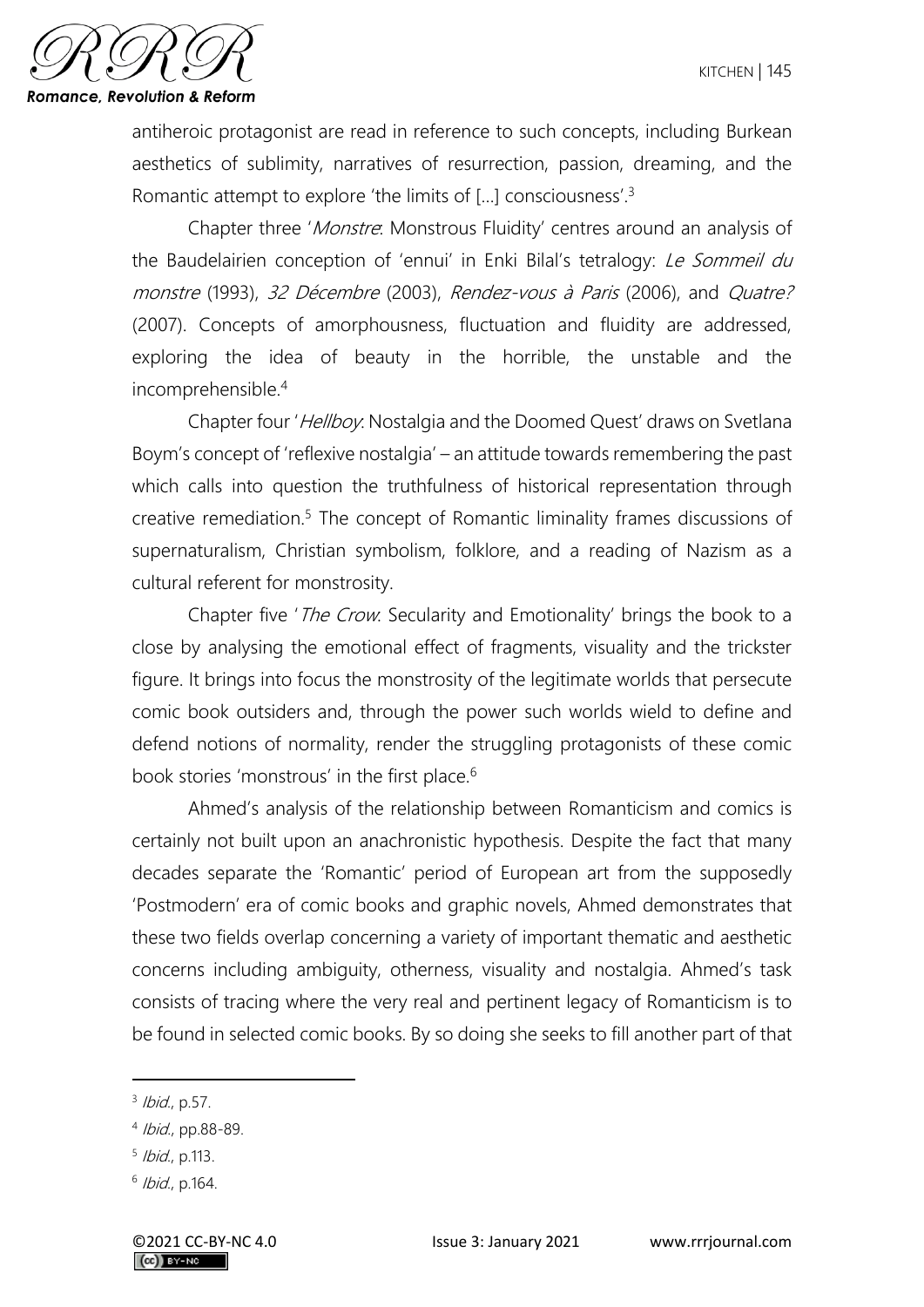

antiheroic protagonist are read in reference to such concepts, including Burkean aesthetics of sublimity, narratives of resurrection, passion, dreaming, and the Romantic attempt to explore 'the limits of [...] consciousness'.<sup>3</sup>

Chapter three 'Monstre: Monstrous Fluidity' centres around an analysis of the Baudelairien conception of 'ennui' in Enki Bilal's tetralogy: Le Sommeil du monstre (1993), 32 Décembre (2003), Rendez-vous à Paris (2006), and Quatre? (2007). Concepts of amorphousness, fluctuation and fluidity are addressed, exploring the idea of beauty in the horrible, the unstable and the incomprehensible.<sup>4</sup>

Chapter four 'Hellboy: Nostalgia and the Doomed Quest' draws on Svetlana Boym's concept of 'reflexive nostalgia' – an attitude towards remembering the past which calls into question the truthfulness of historical representation through creative remediation.<sup>5</sup> The concept of Romantic liminality frames discussions of supernaturalism, Christian symbolism, folklore, and a reading of Nazism as a cultural referent for monstrosity.

Chapter five '*The Crow*: Secularity and Emotionality' brings the book to a close by analysing the emotional effect of fragments, visuality and the trickster figure. It brings into focus the monstrosity of the legitimate worlds that persecute comic book outsiders and, through the power such worlds wield to define and defend notions of normality, render the struggling protagonists of these comic book stories 'monstrous' in the first place.<sup>6</sup>

Ahmed's analysis of the relationship between Romanticism and comics is certainly not built upon an anachronistic hypothesis. Despite the fact that many decades separate the 'Romantic' period of European art from the supposedly 'Postmodern' era of comic books and graphic novels, Ahmed demonstrates that these two fields overlap concerning a variety of important thematic and aesthetic concerns including ambiguity, otherness, visuality and nostalgia. Ahmed's task consists of tracing where the very real and pertinent legacy of Romanticism is to be found in selected comic books. By so doing she seeks to fill another part of that

<sup>&</sup>lt;sup>3</sup> Ibid., p.57.

<sup>4</sup> Ibid., pp.88-89.

<sup>&</sup>lt;sup>5</sup> Ibid., p.113.

<sup>&</sup>lt;sup>6</sup> Ibid., p.164.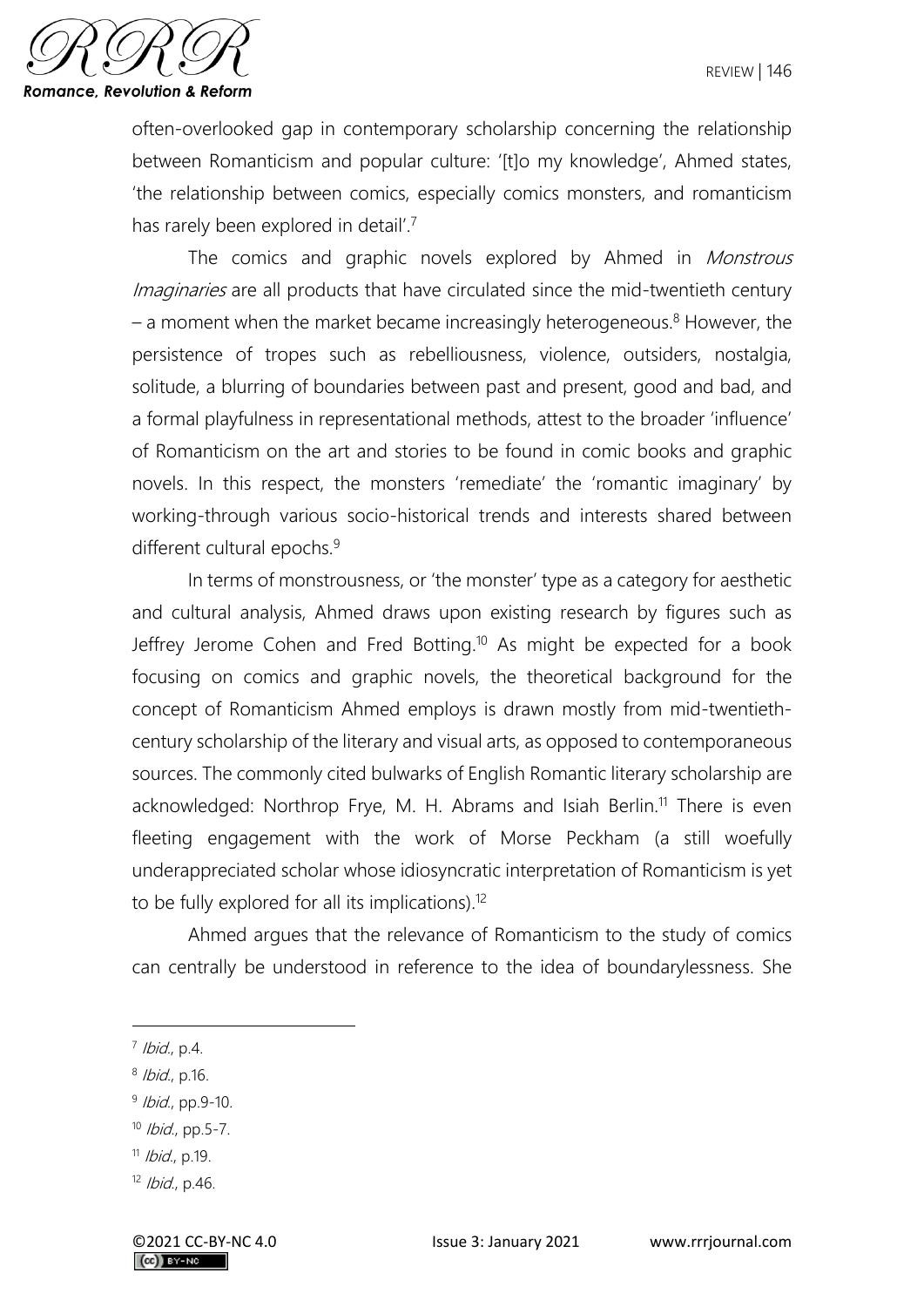

often-overlooked gap in contemporary scholarship concerning the relationship between Romanticism and popular culture: '[t]o my knowledge', Ahmed states, 'the relationship between comics, especially comics monsters, and romanticism has rarely been explored in detail'.<sup>7</sup>

The comics and graphic novels explored by Ahmed in *Monstrous* Imaginaries are all products that have circulated since the mid-twentieth century  $-$  a moment when the market became increasingly heterogeneous.<sup>8</sup> However, the persistence of tropes such as rebelliousness, violence, outsiders, nostalgia, solitude, a blurring of boundaries between past and present, good and bad, and a formal playfulness in representational methods, attest to the broader 'influence' of Romanticism on the art and stories to be found in comic books and graphic novels. In this respect, the monsters 'remediate' the 'romantic imaginary' by working-through various socio-historical trends and interests shared between different cultural epochs.<sup>9</sup>

In terms of monstrousness, or 'the monster' type as a category for aesthetic and cultural analysis, Ahmed draws upon existing research by figures such as Jeffrey Jerome Cohen and Fred Botting.<sup>10</sup> As might be expected for a book focusing on comics and graphic novels, the theoretical background for the concept of Romanticism Ahmed employs is drawn mostly from mid-twentiethcentury scholarship of the literary and visual arts, as opposed to contemporaneous sources. The commonly cited bulwarks of English Romantic literary scholarship are acknowledged: Northrop Frye, M. H. Abrams and Isiah Berlin.<sup>11</sup> There is even fleeting engagement with the work of Morse Peckham (a still woefully underappreciated scholar whose idiosyncratic interpretation of Romanticism is yet to be fully explored for all its implications).<sup>12</sup>

Ahmed argues that the relevance of Romanticism to the study of comics can centrally be understood in reference to the idea of boundarylessness. She

<sup>&</sup>lt;sup>7</sup> Ibid., p.4.

<sup>&</sup>lt;sup>8</sup> Ibid., p.16.

<sup>&</sup>lt;sup>9</sup> Ibid., pp.9-10.

<sup>10</sup> *Ibid.*, pp.5-7.

<sup>&</sup>lt;sup>11</sup> *Ibid.*, p.19.

 $12$  *Ibid.*, p.46.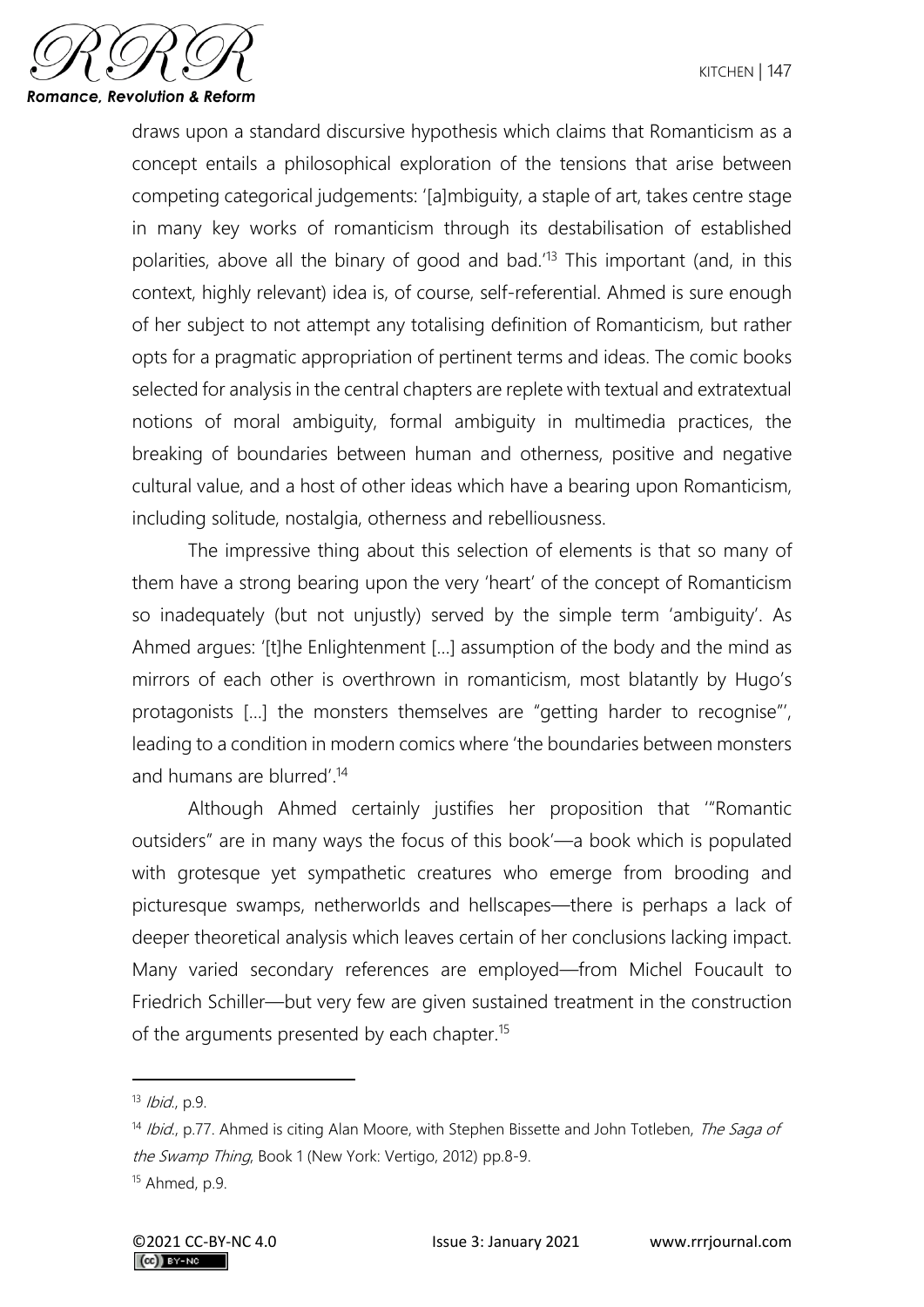

draws upon a standard discursive hypothesis which claims that Romanticism as a concept entails a philosophical exploration of the tensions that arise between competing categorical judgements: '[a]mbiguity, a staple of art, takes centre stage in many key works of romanticism through its destabilisation of established polarities, above all the binary of good and bad.' <sup>13</sup> This important (and, in this context, highly relevant) idea is, of course, self-referential. Ahmed is sure enough of her subject to not attempt any totalising definition of Romanticism, but rather opts for a pragmatic appropriation of pertinent terms and ideas. The comic books selected for analysis in the central chapters are replete with textual and extratextual notions of moral ambiguity, formal ambiguity in multimedia practices, the breaking of boundaries between human and otherness, positive and negative cultural value, and a host of other ideas which have a bearing upon Romanticism, including solitude, nostalgia, otherness and rebelliousness.

The impressive thing about this selection of elements is that so many of them have a strong bearing upon the very 'heart' of the concept of Romanticism so inadequately (but not unjustly) served by the simple term 'ambiguity'. As Ahmed argues: '[t]he Enlightenment […] assumption of the body and the mind as mirrors of each other is overthrown in romanticism, most blatantly by Hugo's protagonists […] the monsters themselves are "getting harder to recognise"', leading to a condition in modern comics where 'the boundaries between monsters and humans are blurred'. 14

Although Ahmed certainly justifies her proposition that '"Romantic outsiders" are in many ways the focus of this book'—a book which is populated with grotesque yet sympathetic creatures who emerge from brooding and picturesque swamps, netherworlds and hellscapes—there is perhaps a lack of deeper theoretical analysis which leaves certain of her conclusions lacking impact. Many varied secondary references are employed—from Michel Foucault to Friedrich Schiller—but very few are given sustained treatment in the construction of the arguments presented by each chapter.<sup>15</sup>

 $13$  *Ibid.*, p.9.

 $14$  Ibid., p.77. Ahmed is citing Alan Moore, with Stephen Bissette and John Totleben, The Saga of the Swamp Thing, Book 1 (New York: Vertigo, 2012) pp.8-9.

<sup>15</sup> Ahmed, p.9.